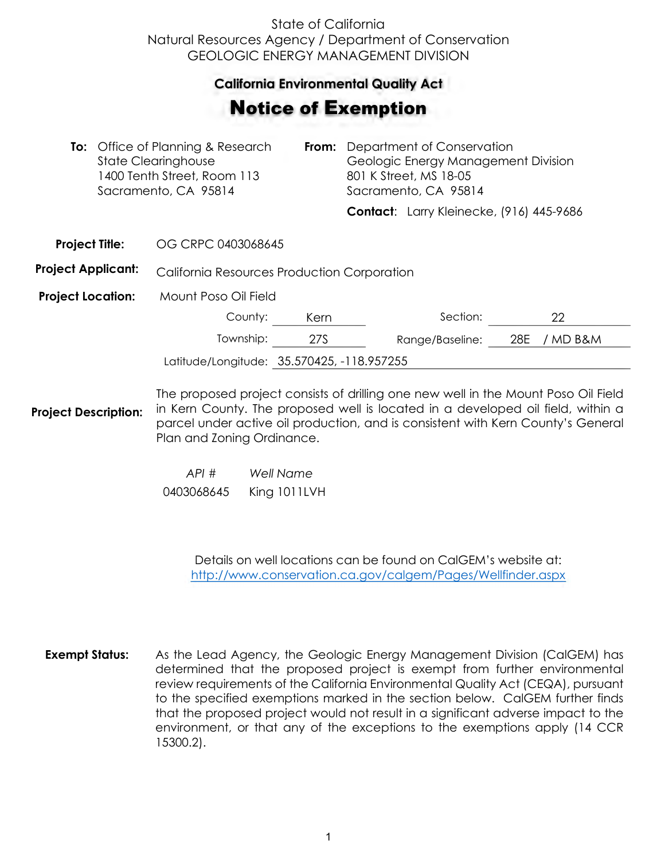## State of California Natural Resources Agency / Department of Conservation GEOLOGIC ENERGY MANAGEMENT DIVISION

## **California Environmental Quality Act**  California Environmental Quality Act

## Notice of Exemption **otice of Exemption**

|                           | <b>To:</b> Office of Planning & Research<br><b>State Clearinghouse</b><br>1400 Tenth Street, Room 113<br>Sacramento, CA 95814 |                                                    |  | <b>From:</b> Department of Conservation<br>Geologic Energy Management Division<br>801 K Street, MS 18-05<br>Sacramento, CA 95814 |                                          |  |
|---------------------------|-------------------------------------------------------------------------------------------------------------------------------|----------------------------------------------------|--|----------------------------------------------------------------------------------------------------------------------------------|------------------------------------------|--|
|                           |                                                                                                                               |                                                    |  |                                                                                                                                  | Contact: Larry Kleinecke, (916) 445-9686 |  |
| <b>Project Title:</b>     |                                                                                                                               | OG CRPC 0403068645                                 |  |                                                                                                                                  |                                          |  |
| <b>Project Applicant:</b> |                                                                                                                               | <b>California Resources Production Corporation</b> |  |                                                                                                                                  |                                          |  |
|                           |                                                                                                                               |                                                    |  |                                                                                                                                  |                                          |  |

**Project Location:** Mount Poso Oil Field

| County:                                    | Kern | Section:                     |  |  |
|--------------------------------------------|------|------------------------------|--|--|
| Township:                                  | 27S. | Range/Baseline: 28E / MD B&M |  |  |
| Latitude/Longitude: 35.570425, -118.957255 |      |                              |  |  |

**Project Description:** The proposed project consists of drilling one new well in the Mount Poso Oil Field in Kern County. The proposed well is located in a developed oil field, within a parcel under active oil production, and is consistent with Kern County's General Plan and Zoning Ordinance.

> *API # Well Name*  0403068645 King 1011LVH

> > Details on well locations can be found on CalGEM's website at: <http://www.conservation.ca.gov/calgem/Pages/Wellfinder.aspx>

**Exempt Status:** As the Lead Agency, the Geologic Energy Management Division (CalGEM) has determined that the proposed project is exempt from further environmental review requirements of the California Environmental Quality Act (CEQA), pursuant to the specified exemptions marked in the section below. CalGEM further finds that the proposed project would not result in a significant adverse impact to the environment, or that any of the exceptions to the exemptions apply (14 CCR 15300.2).